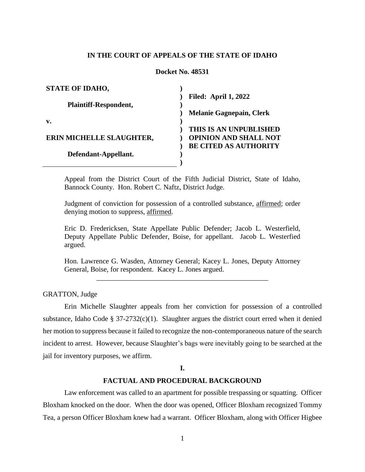## **IN THE COURT OF APPEALS OF THE STATE OF IDAHO**

# **Docket No. 48531**

| <b>STATE OF IDAHO,</b>       |                                 |
|------------------------------|---------------------------------|
|                              | <b>Filed: April 1, 2022</b>     |
| <b>Plaintiff-Respondent,</b> |                                 |
|                              | <b>Melanie Gagnepain, Clerk</b> |
| v.                           |                                 |
|                              | THIS IS AN UNPUBLISHED          |
| ERIN MICHELLE SLAUGHTER,     | <b>OPINION AND SHALL NOT</b>    |
|                              | <b>BE CITED AS AUTHORITY</b>    |
| Defendant-Appellant.         |                                 |
|                              |                                 |

Appeal from the District Court of the Fifth Judicial District, State of Idaho, Bannock County. Hon. Robert C. Naftz, District Judge.

Judgment of conviction for possession of a controlled substance, affirmed; order denying motion to suppress, affirmed.

Eric D. Fredericksen, State Appellate Public Defender; Jacob L. Westerfield, Deputy Appellate Public Defender, Boise, for appellant. Jacob L. Westerfied argued.

Hon. Lawrence G. Wasden, Attorney General; Kacey L. Jones, Deputy Attorney General, Boise, for respondent. Kacey L. Jones argued. \_\_\_\_\_\_\_\_\_\_\_\_\_\_\_\_\_\_\_\_\_\_\_\_\_\_\_\_\_\_\_\_\_\_\_\_\_\_\_\_\_\_\_\_\_\_\_\_

GRATTON, Judge

Erin Michelle Slaughter appeals from her conviction for possession of a controlled substance, Idaho Code §  $37-2732(c)(1)$ . Slaughter argues the district court erred when it denied her motion to suppress because it failed to recognize the non-contemporaneous nature of the search incident to arrest. However, because Slaughter's bags were inevitably going to be searched at the jail for inventory purposes, we affirm.

### **I.**

## **FACTUAL AND PROCEDURAL BACKGROUND**

Law enforcement was called to an apartment for possible trespassing or squatting. Officer Bloxham knocked on the door. When the door was opened, Officer Bloxham recognized Tommy Tea, a person Officer Bloxham knew had a warrant. Officer Bloxham, along with Officer Higbee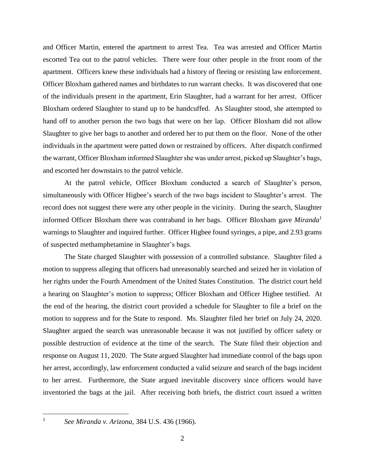and Officer Martin, entered the apartment to arrest Tea. Tea was arrested and Officer Martin escorted Tea out to the patrol vehicles. There were four other people in the front room of the apartment. Officers knew these individuals had a history of fleeing or resisting law enforcement. Officer Bloxham gathered names and birthdates to run warrant checks. It was discovered that one of the individuals present in the apartment, Erin Slaughter, had a warrant for her arrest. Officer Bloxham ordered Slaughter to stand up to be handcuffed. As Slaughter stood, she attempted to hand off to another person the two bags that were on her lap. Officer Bloxham did not allow Slaughter to give her bags to another and ordered her to put them on the floor. None of the other individuals in the apartment were patted down or restrained by officers. After dispatch confirmed the warrant, Officer Bloxham informed Slaughter she was under arrest, picked up Slaughter's bags, and escorted her downstairs to the patrol vehicle.

At the patrol vehicle, Officer Bloxham conducted a search of Slaughter's person, simultaneously with Officer Higbee's search of the two bags incident to Slaughter's arrest. The record does not suggest there were any other people in the vicinity. During the search, Slaughter informed Officer Bloxham there was contraband in her bags. Officer Bloxham gave *Miranda*<sup>1</sup> warnings to Slaughter and inquired further. Officer Higbee found syringes, a pipe, and 2.93 grams of suspected methamphetamine in Slaughter's bags.

The State charged Slaughter with possession of a controlled substance. Slaughter filed a motion to suppress alleging that officers had unreasonably searched and seized her in violation of her rights under the Fourth Amendment of the United States Constitution. The district court held a hearing on Slaughter's motion to suppress; Officer Bloxham and Officer Higbee testified. At the end of the hearing, the district court provided a schedule for Slaughter to file a brief on the motion to suppress and for the State to respond. Ms. Slaughter filed her brief on July 24, 2020. Slaughter argued the search was unreasonable because it was not justified by officer safety or possible destruction of evidence at the time of the search. The State filed their objection and response on August 11, 2020. The State argued Slaughter had immediate control of the bags upon her arrest, accordingly, law enforcement conducted a valid seizure and search of the bags incident to her arrest. Furthermore, the State argued inevitable discovery since officers would have inventoried the bags at the jail. After receiving both briefs, the district court issued a written

 $\overline{a}$ 1

*See Miranda v. Arizona*, 384 U.S. 436 (1966).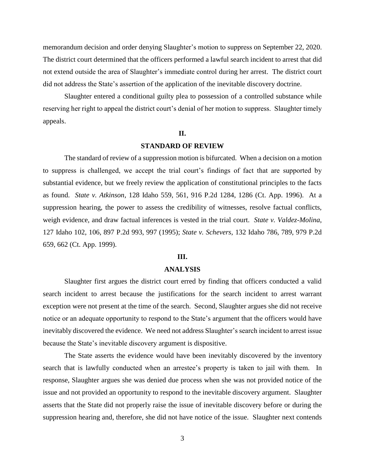memorandum decision and order denying Slaughter's motion to suppress on September 22, 2020. The district court determined that the officers performed a lawful search incident to arrest that did not extend outside the area of Slaughter's immediate control during her arrest. The district court did not address the State's assertion of the application of the inevitable discovery doctrine.

Slaughter entered a conditional guilty plea to possession of a controlled substance while reserving her right to appeal the district court's denial of her motion to suppress. Slaughter timely appeals.

### **II.**

## **STANDARD OF REVIEW**

The standard of review of a suppression motion is bifurcated. When a decision on a motion to suppress is challenged, we accept the trial court's findings of fact that are supported by substantial evidence, but we freely review the application of constitutional principles to the facts as found. *State v. Atkinson*, 128 Idaho 559, 561, 916 P.2d 1284, 1286 (Ct. App. 1996). At a suppression hearing, the power to assess the credibility of witnesses, resolve factual conflicts, weigh evidence, and draw factual inferences is vested in the trial court. *State v. Valdez-Molina*, 127 Idaho 102, 106, 897 P.2d 993, 997 (1995); *State v. Schevers*, 132 Idaho 786, 789, 979 P.2d 659, 662 (Ct. App. 1999).

#### **III.**

### **ANALYSIS**

Slaughter first argues the district court erred by finding that officers conducted a valid search incident to arrest because the justifications for the search incident to arrest warrant exception were not present at the time of the search. Second, Slaughter argues she did not receive notice or an adequate opportunity to respond to the State's argument that the officers would have inevitably discovered the evidence. We need not address Slaughter's search incident to arrest issue because the State's inevitable discovery argument is dispositive.

The State asserts the evidence would have been inevitably discovered by the inventory search that is lawfully conducted when an arrestee's property is taken to jail with them. In response, Slaughter argues she was denied due process when she was not provided notice of the issue and not provided an opportunity to respond to the inevitable discovery argument. Slaughter asserts that the State did not properly raise the issue of inevitable discovery before or during the suppression hearing and, therefore, she did not have notice of the issue. Slaughter next contends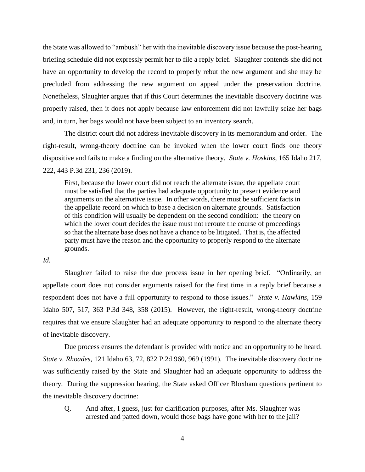the State was allowed to "ambush" her with the inevitable discovery issue because the post-hearing briefing schedule did not expressly permit her to file a reply brief. Slaughter contends she did not have an opportunity to develop the record to properly rebut the new argument and she may be precluded from addressing the new argument on appeal under the preservation doctrine. Nonetheless, Slaughter argues that if this Court determines the inevitable discovery doctrine was properly raised, then it does not apply because law enforcement did not lawfully seize her bags and, in turn, her bags would not have been subject to an inventory search.

The district court did not address inevitable discovery in its memorandum and order. The right-result, wrong-theory doctrine can be invoked when the lower court finds one theory dispositive and fails to make a finding on the alternative theory. *State v. Hoskins*, 165 Idaho 217, 222, 443 P.3d 231, 236 (2019).

First, because the lower court did not reach the alternate issue, the appellate court must be satisfied that the parties had adequate opportunity to present evidence and arguments on the alternative issue. In other words, there must be sufficient facts in the appellate record on which to base a decision on alternate grounds. Satisfaction of this condition will usually be dependent on the second condition: the theory on which the lower court decides the issue must not reroute the course of proceedings so that the alternate base does not have a chance to be litigated. That is, the affected party must have the reason and the opportunity to properly respond to the alternate grounds.

### *Id.*

Slaughter failed to raise the due process issue in her opening brief. "Ordinarily, an appellate court does not consider arguments raised for the first time in a reply brief because a respondent does not have a full opportunity to respond to those issues." *State v. Hawkins*, 159 Idaho 507, 517, 363 P.3d 348, 358 (2015). However, the right-result, wrong-theory doctrine requires that we ensure Slaughter had an adequate opportunity to respond to the alternate theory of inevitable discovery.

Due process ensures the defendant is provided with notice and an opportunity to be heard. *State v. Rhoades*, 121 Idaho 63, 72, 822 P.2d 960, 969 (1991). The inevitable discovery doctrine was sufficiently raised by the State and Slaughter had an adequate opportunity to address the theory. During the suppression hearing, the State asked Officer Bloxham questions pertinent to the inevitable discovery doctrine:

Q. And after, I guess, just for clarification purposes, after Ms. Slaughter was arrested and patted down, would those bags have gone with her to the jail?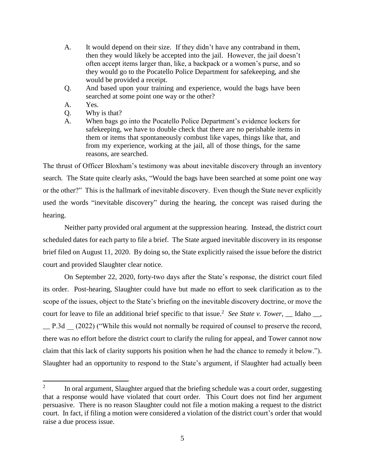- A. It would depend on their size. If they didn't have any contraband in them, then they would likely be accepted into the jail. However, the jail doesn't often accept items larger than, like, a backpack or a women's purse, and so they would go to the Pocatello Police Department for safekeeping, and she would be provided a receipt.
- Q. And based upon your training and experience, would the bags have been searched at some point one way or the other?
- A. Yes.

 $\overline{a}$ 

- Q. Why is that?
- A. When bags go into the Pocatello Police Department's evidence lockers for safekeeping, we have to double check that there are no perishable items in them or items that spontaneously combust like vapes, things like that, and from my experience, working at the jail, all of those things, for the same reasons, are searched.

The thrust of Officer Bloxham's testimony was about inevitable discovery through an inventory search. The State quite clearly asks, "Would the bags have been searched at some point one way or the other?" This is the hallmark of inevitable discovery. Even though the State never explicitly used the words "inevitable discovery" during the hearing, the concept was raised during the hearing.

Neither party provided oral argument at the suppression hearing. Instead, the district court scheduled dates for each party to file a brief. The State argued inevitable discovery in its response brief filed on August 11, 2020. By doing so, the State explicitly raised the issue before the district court and provided Slaughter clear notice.

On September 22, 2020, forty-two days after the State's response, the district court filed its order. Post-hearing, Slaughter could have but made no effort to seek clarification as to the scope of the issues, object to the State's briefing on the inevitable discovery doctrine, or move the court for leave to file an additional brief specific to that issue.<sup>2</sup> See State v. Tower,  $\_\_$  Idaho  $\_\_$ , \_\_ P.3d \_\_ (2022) ("While this would not normally be required of counsel to preserve the record, there was *no* effort before the district court to clarify the ruling for appeal, and Tower cannot now claim that this lack of clarity supports his position when he had the chance to remedy it below."). Slaughter had an opportunity to respond to the State's argument, if Slaughter had actually been

<sup>2</sup> In oral argument, Slaughter argued that the briefing schedule was a court order, suggesting that a response would have violated that court order. This Court does not find her argument persuasive. There is no reason Slaughter could not file a motion making a request to the district court. In fact, if filing a motion were considered a violation of the district court's order that would raise a due process issue.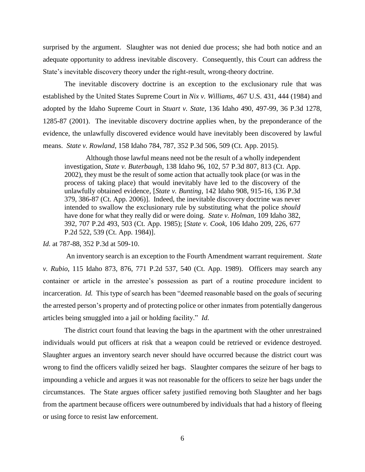surprised by the argument. Slaughter was not denied due process; she had both notice and an adequate opportunity to address inevitable discovery. Consequently, this Court can address the State's inevitable discovery theory under the right-result, wrong-theory doctrine.

The inevitable discovery doctrine is an exception to the exclusionary rule that was established by the United States Supreme Court in *Nix v. Williams*, 467 U.S. 431, 444 (1984) and adopted by the Idaho Supreme Court in *Stuart v. State*, 136 Idaho 490, 497-99, 36 P.3d 1278, 1285-87 (2001). The inevitable discovery doctrine applies when, by the preponderance of the evidence, the unlawfully discovered evidence would have inevitably been discovered by lawful means. *State v. Rowland*, 158 Idaho 784, 787, 352 P.3d 506, 509 (Ct. App. 2015).

Although those lawful means need not be the result of a wholly independent investigation, *State v. Buterbaugh*, 138 Idaho 96, 102, 57 P.3d 807, 813 (Ct. App. 2002), they must be the result of some action that actually took place (or was in the process of taking place) that would inevitably have led to the discovery of the unlawfully obtained evidence, [*State v. Bunting*, 142 Idaho 908, 915-16, 136 P.3d 379, 386-87 (Ct. App. 2006)]. Indeed, the inevitable discovery doctrine was never intended to swallow the exclusionary rule by substituting what the police *should* have done for what they really did or were doing. *State v. Holman*, 109 Idaho 382, 392, 707 P.2d 493, 503 (Ct. App. 1985); [*State v. Cook*, 106 Idaho 209, 226, 677 P.2d 522, 539 (Ct. App. 1984)].

*Id.* at 787-88, 352 P.3d at 509-10.

An inventory search is an exception to the Fourth Amendment warrant requirement. *State v. Rubio*, 115 Idaho 873, 876, 771 P.2d 537, 540 (Ct. App. 1989). Officers may search any container or article in the arrestee's possession as part of a routine procedure incident to incarceration. *Id.* This type of search has been "deemed reasonable based on the goals of securing the arrested person's property and of protecting police or other inmates from potentially dangerous articles being smuggled into a jail or holding facility." *Id.*

The district court found that leaving the bags in the apartment with the other unrestrained individuals would put officers at risk that a weapon could be retrieved or evidence destroyed. Slaughter argues an inventory search never should have occurred because the district court was wrong to find the officers validly seized her bags. Slaughter compares the seizure of her bags to impounding a vehicle and argues it was not reasonable for the officers to seize her bags under the circumstances. The State argues officer safety justified removing both Slaughter and her bags from the apartment because officers were outnumbered by individuals that had a history of fleeing or using force to resist law enforcement.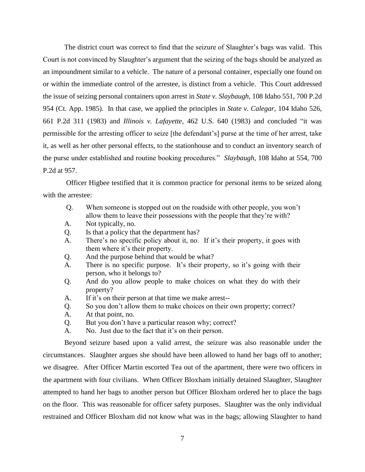The district court was correct to find that the seizure of Slaughter's bags was valid. This Court is not convinced by Slaughter's argument that the seizing of the bags should be analyzed as an impoundment similar to a vehicle. The nature of a personal container, especially one found on or within the immediate control of the arrestee, is distinct from a vehicle. This Court addressed the issue of seizing personal containers upon arrest in *State v. Slaybaugh*, 108 Idaho 551, 700 P.2d 954 (Ct. App. 1985). In that case, we applied the principles in *State v. Calegar*, 104 Idaho 526, 661 P.2d 311 (1983) and *Illinois v. Lafayette*, 462 U.S. 640 (1983) and concluded "it was permissible for the arresting officer to seize [the defendant's] purse at the time of her arrest, take it, as well as her other personal effects, to the stationhouse and to conduct an inventory search of the purse under established and routine booking procedures." *Slaybaugh*, 108 Idaho at 554, 700 P.2d at 957.

Officer Higbee testified that it is common practice for personal items to be seized along with the arrestee:

- Q. When someone is stopped out on the roadside with other people, you won't allow them to leave their possessions with the people that they're with?
- A. Not typically, no.
- Q. Is that a policy that the department has?
- A. There's no specific policy about it, no. If it's their property, it goes with them where it's their property.
- Q. And the purpose behind that would be what?
- A. There is no specific purpose. It's their property, so it's going with their person, who it belongs to?
- Q. And do you allow people to make choices on what they do with their property?
- A. If it's on their person at that time we make arrest--
- Q. So you don't allow them to make choices on their own property; correct?
- A. At that point, no.
- Q. But you don't have a particular reason why; correct?
- A. No. Just due to the fact that it's on their person.

Beyond seizure based upon a valid arrest, the seizure was also reasonable under the circumstances. Slaughter argues she should have been allowed to hand her bags off to another; we disagree. After Officer Martin escorted Tea out of the apartment, there were two officers in the apartment with four civilians. When Officer Bloxham initially detained Slaughter, Slaughter attempted to hand her bags to another person but Officer Bloxham ordered her to place the bags on the floor. This was reasonable for officer safety purposes. Slaughter was the only individual restrained and Officer Bloxham did not know what was in the bags; allowing Slaughter to hand